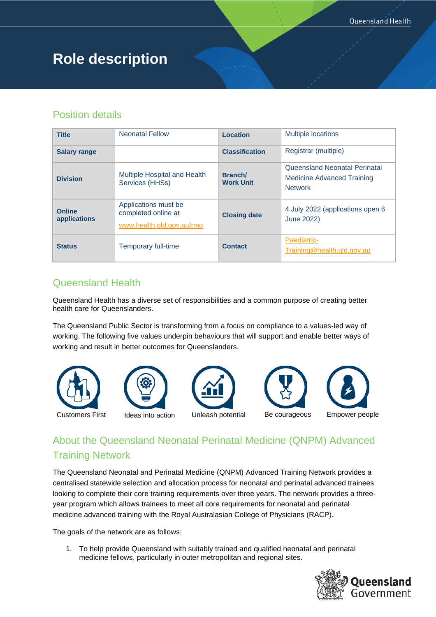# **Role description**

#### Position details

| <b>Title</b>                  | <b>Neonatal Fellow</b>                                                   | Location                    | <b>Multiple locations</b>                                                     |
|-------------------------------|--------------------------------------------------------------------------|-----------------------------|-------------------------------------------------------------------------------|
| <b>Salary range</b>           |                                                                          | <b>Classification</b>       | Registrar (multiple)                                                          |
| <b>Division</b>               | Multiple Hospital and Health<br>Services (HHSs)                          | Branch/<br><b>Work Unit</b> | Queensland Neonatal Perinatal<br>Medicine Advanced Training<br><b>Network</b> |
| <b>Online</b><br>applications | Applications must be<br>completed online at<br>www.health.gld.gov.au/rmo | <b>Closing date</b>         | 4 July 2022 (applications open 6<br>June 2022)                                |
| <b>Status</b>                 | Temporary full-time                                                      | <b>Contact</b>              | Paediatric-<br>Training@health.qld.gov.au                                     |

#### Queensland Health

Queensland Health has a diverse set of responsibilities and a common purpose of creating better health care for Queenslanders.

The Queensland Public Sector is transforming from a focus on compliance to a values-led way of working. The following five values underpin behaviours that will support and enable better ways of working and result in better outcomes for Queenslanders.



## About the Queensland Neonatal Perinatal Medicine (QNPM) Advanced Training Network

The Queensland Neonatal and Perinatal Medicine (QNPM) Advanced Training Network provides a centralised statewide selection and allocation process for neonatal and perinatal advanced trainees looking to complete their core training requirements over three years. The network provides a threeyear program which allows trainees to meet all core requirements for neonatal and perinatal medicine advanced training with the Royal Australasian College of Physicians (RACP).

The goals of the network are as follows:

1. To help provide Queensland with suitably trained and qualified neonatal and perinatal medicine fellows, particularly in outer metropolitan and regional sites.

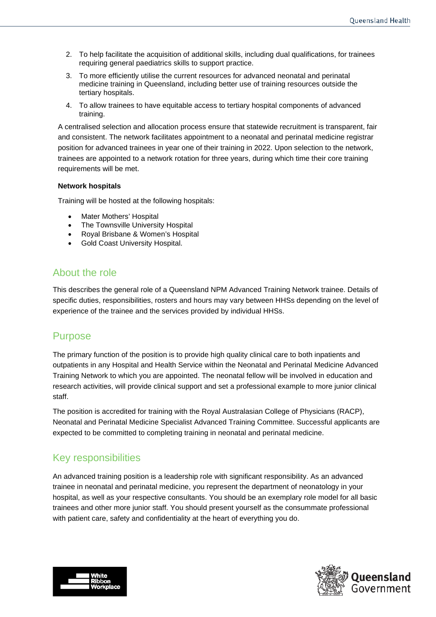- 2. To help facilitate the acquisition of additional skills, including dual qualifications, for trainees requiring general paediatrics skills to support practice.
- 3. To more efficiently utilise the current resources for advanced neonatal and perinatal medicine training in Queensland, including better use of training resources outside the tertiary hospitals.
- 4. To allow trainees to have equitable access to tertiary hospital components of advanced training.

A centralised selection and allocation process ensure that statewide recruitment is transparent, fair and consistent. The network facilitates appointment to a neonatal and perinatal medicine registrar position for advanced trainees in year one of their training in 2022. Upon selection to the network, trainees are appointed to a network rotation for three years, during which time their core training requirements will be met.

#### **Network hospitals**

Training will be hosted at the following hospitals:

- Mater Mothers' Hospital
- The Townsville University Hospital
- Royal Brisbane & Women's Hospital
- Gold Coast University Hospital.

#### About the role

This describes the general role of a Queensland NPM Advanced Training Network trainee. Details of specific duties, responsibilities, rosters and hours may vary between HHSs depending on the level of experience of the trainee and the services provided by individual HHSs.

#### Purpose

The primary function of the position is to provide high quality clinical care to both inpatients and outpatients in any Hospital and Health Service within the Neonatal and Perinatal Medicine Advanced Training Network to which you are appointed. The neonatal fellow will be involved in education and research activities, will provide clinical support and set a professional example to more junior clinical staff.

The position is accredited for training with the Royal Australasian College of Physicians (RACP), Neonatal and Perinatal Medicine Specialist Advanced Training Committee. Successful applicants are expected to be committed to completing training in neonatal and perinatal medicine.

#### Key responsibilities

An advanced training position is a leadership role with significant responsibility. As an advanced trainee in neonatal and perinatal medicine, you represent the department of neonatology in your hospital, as well as your respective consultants. You should be an exemplary role model for all basic trainees and other more junior staff. You should present yourself as the consummate professional with patient care, safety and confidentiality at the heart of everything you do.



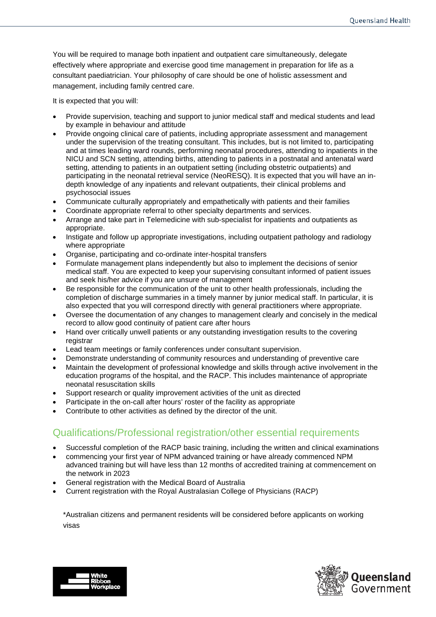You will be required to manage both inpatient and outpatient care simultaneously, delegate effectively where appropriate and exercise good time management in preparation for life as a consultant paediatrician. Your philosophy of care should be one of holistic assessment and management, including family centred care.

It is expected that you will:

- Provide supervision, teaching and support to junior medical staff and medical students and lead by example in behaviour and attitude
- Provide ongoing clinical care of patients, including appropriate assessment and management under the supervision of the treating consultant. This includes, but is not limited to, participating and at times leading ward rounds, performing neonatal procedures, attending to inpatients in the NICU and SCN setting, attending births, attending to patients in a postnatal and antenatal ward setting, attending to patients in an outpatient setting (including obstetric outpatients) and participating in the neonatal retrieval service (NeoRESQ). It is expected that you will have an indepth knowledge of any inpatients and relevant outpatients, their clinical problems and psychosocial issues
- Communicate culturally appropriately and empathetically with patients and their families
- Coordinate appropriate referral to other specialty departments and services.
- Arrange and take part in Telemedicine with sub-specialist for inpatients and outpatients as appropriate.
- Instigate and follow up appropriate investigations, including outpatient pathology and radiology where appropriate
- Organise, participating and co-ordinate inter-hospital transfers
- Formulate management plans independently but also to implement the decisions of senior medical staff. You are expected to keep your supervising consultant informed of patient issues and seek his/her advice if you are unsure of management
- Be responsible for the communication of the unit to other health professionals, including the completion of discharge summaries in a timely manner by junior medical staff. In particular, it is also expected that you will correspond directly with general practitioners where appropriate.
- Oversee the documentation of any changes to management clearly and concisely in the medical record to allow good continuity of patient care after hours
- Hand over critically unwell patients or any outstanding investigation results to the covering registrar
- Lead team meetings or family conferences under consultant supervision.
- Demonstrate understanding of community resources and understanding of preventive care
- Maintain the development of professional knowledge and skills through active involvement in the education programs of the hospital, and the RACP. This includes maintenance of appropriate neonatal resuscitation skills
- Support research or quality improvement activities of the unit as directed
- Participate in the on-call after hours' roster of the facility as appropriate
- Contribute to other activities as defined by the director of the unit.

#### Qualifications/Professional registration/other essential requirements

- Successful completion of the RACP basic training, including the written and clinical examinations
- commencing your first year of NPM advanced training or have already commenced NPM advanced training but will have less than 12 months of accredited training at commencement on the network in 2023
- General registration with the Medical Board of Australia
- Current registration with the Royal Australasian College of Physicians (RACP)

\*Australian citizens and permanent residents will be considered before applicants on working visas



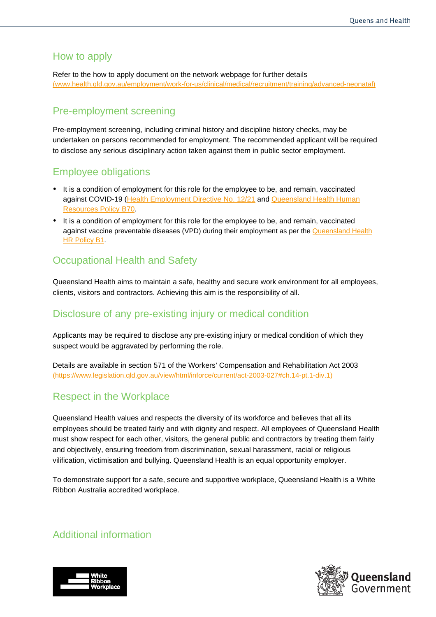#### How to apply

Refer to the how to apply document on the network webpage for further details [\(www.health.qld.gov.au/employment/work-for-us/clinical/medical/recruitment/training/advanced-neonatal\)](http://www.health.qld.gov.au/employment/work-for-us/clinical/medical/recruitment/training/advanced-neonatal)

#### Pre-employment screening

Pre-employment screening, including criminal history and discipline history checks, may be undertaken on persons recommended for employment. The recommended applicant will be required to disclose any serious disciplinary action taken against them in public sector employment.

#### Employee obligations

- It is a condition of employment for this role for the employee to be, and remain, vaccinated against COVID-19 [\(Health Employment Directive No. 12/21](https://www.health.qld.gov.au/__data/assets/pdf_file/0022/1108453/hed-1221.pdf) and Queensland Health Human [Resources Policy B70.](https://www.health.qld.gov.au/__data/assets/pdf_file/0024/1108446/qh-pol-486.pdf)
- It is a condition of employment for this role for the employee to be, and remain, vaccinated against vaccine preventable diseases (VPD) during their employment as per the Queensland Health [HR Policy B1.](https://www.health.qld.gov.au/__data/assets/pdf_file/0034/635893/qh-pol-212.pdf)

### Occupational Health and Safety

Queensland Health aims to maintain a safe, healthy and secure work environment for all employees, clients, visitors and contractors. Achieving this aim is the responsibility of all.

#### Disclosure of any pre-existing injury or medical condition

Applicants may be required to disclose any pre-existing injury or medical condition of which they suspect would be aggravated by performing the role.

Details are available in section 571 of the Workers' Compensation and Rehabilitation Act 2003 [\(https://www.legislation.qld.gov.au/view/html/inforce/current/act-2003-027#ch.14-pt.1-div.1\)](https://www.legislation.qld.gov.au/view/html/inforce/current/act-2003-027#ch.14-pt.1-div.1)

#### Respect in the Workplace

Queensland Health values and respects the diversity of its workforce and believes that all its employees should be treated fairly and with dignity and respect. All employees of Queensland Health must show respect for each other, visitors, the general public and contractors by treating them fairly and objectively, ensuring freedom from discrimination, sexual harassment, racial or religious vilification, victimisation and bullying. Queensland Health is an equal opportunity employer.

To demonstrate support for a safe, secure and supportive workplace, Queensland Health is a White Ribbon Australia accredited workplace.

#### Additional information